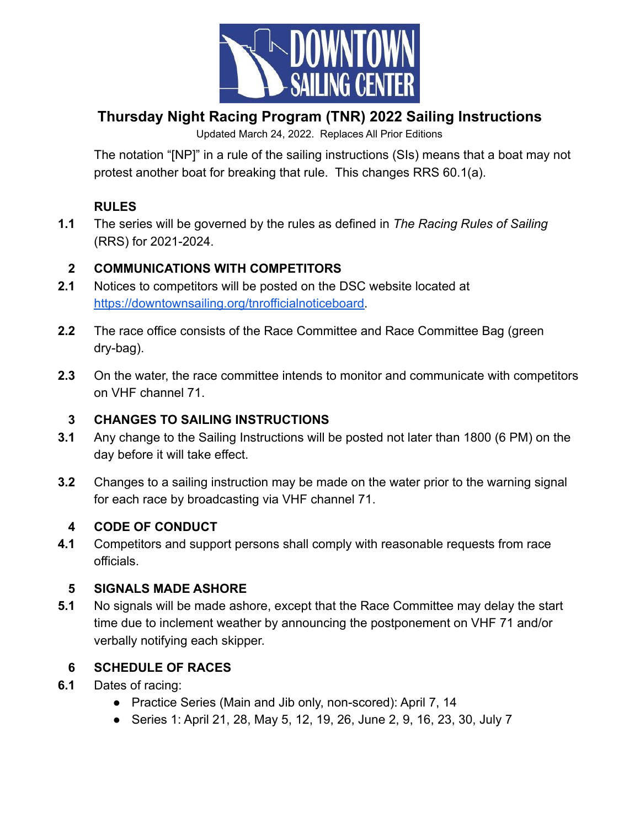

# **Thursday Night Racing Program (TNR) 2022 Sailing Instructions**

Updated March 24, 2022. Replaces All Prior Editions

The notation "[NP]" in a rule of the sailing instructions (SIs) means that a boat may not protest another boat for breaking that rule. This changes RRS 60.1(a).

# **RULES**

**1.1** The series will be governed by the rules as defined in *The Racing Rules of Sailing* (RRS) for 2021-2024.

# **2 COMMUNICATIONS WITH COMPETITORS**

- **2.1** Notices to competitors will be posted on the DSC website located at [https://downtownsailing.org/tnrofficialnoticeboard.](https://downtownsailing.org/tnrofficialnoticeboard)
- **2.2** The race office consists of the Race Committee and Race Committee Bag (green dry-bag).
- **2.3** On the water, the race committee intends to monitor and communicate with competitors on VHF channel 71.

# **3 CHANGES TO SAILING INSTRUCTIONS**

- **3.1** Any change to the Sailing Instructions will be posted not later than 1800 (6 PM) on the day before it will take effect.
- **3.2** Changes to a sailing instruction may be made on the water prior to the warning signal for each race by broadcasting via VHF channel 71.

# **4 CODE OF CONDUCT**

**4.1** Competitors and support persons shall comply with reasonable requests from race officials.

# **5 SIGNALS MADE ASHORE**

**5.1** No signals will be made ashore, except that the Race Committee may delay the start time due to inclement weather by announcing the postponement on VHF 71 and/or verbally notifying each skipper.

# **6 SCHEDULE OF RACES**

- **6.1** Dates of racing:
	- Practice Series (Main and Jib only, non-scored): April 7, 14
	- Series 1: April 21, 28, May 5, 12, 19, 26, June 2, 9, 16, 23, 30, July 7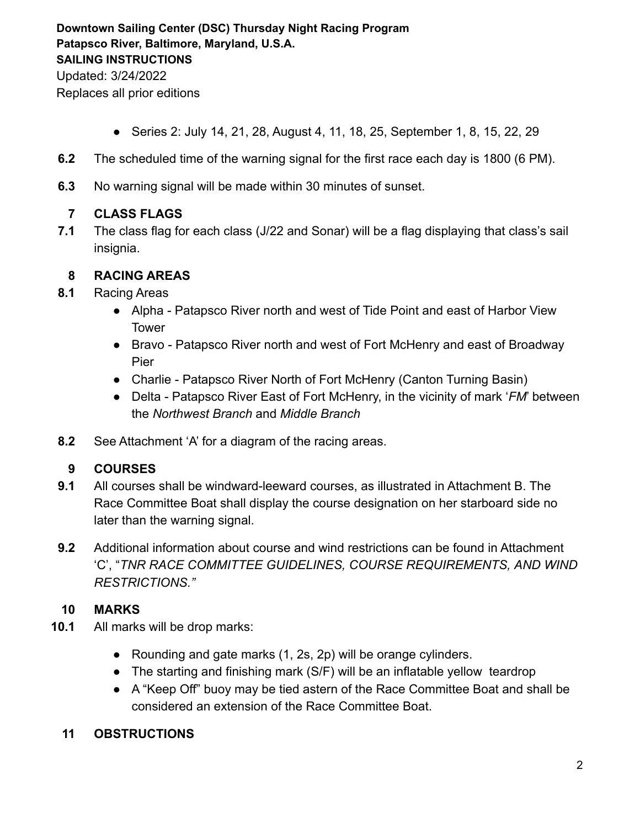- Series 2: July 14, 21, 28, August 4, 11, 18, 25, September 1, 8, 15, 22, 29
- **6.2** The scheduled time of the warning signal for the first race each day is 1800 (6 PM).
- **6.3** No warning signal will be made within 30 minutes of sunset.

### **7 CLASS FLAGS**

**7.1** The class flag for each class (J/22 and Sonar) will be a flag displaying that class's sail insignia.

#### **8 RACING AREAS**

- **8.1** Racing Areas
	- Alpha Patapsco River north and west of Tide Point and east of Harbor View Tower
	- Bravo Patapsco River north and west of Fort McHenry and east of Broadway Pier
	- Charlie Patapsco River North of Fort McHenry (Canton Turning Basin)
	- Delta Patapsco River East of Fort McHenry, in the vicinity of mark '*FM*' between the *Northwest Branch* and *Middle Branch*
- **8.2** See Attachment 'A' for a diagram of the racing areas.

### **9 COURSES**

- **9.1** All courses shall be windward-leeward courses, as illustrated in Attachment B. The Race Committee Boat shall display the course designation on her starboard side no later than the warning signal.
- **9.2** Additional information about course and wind restrictions can be found in Attachment 'C', "*TNR RACE COMMITTEE GUIDELINES, COURSE REQUIREMENTS, AND WIND RESTRICTIONS."*

### **10 MARKS**

- **10.1** All marks will be drop marks:
	- Rounding and gate marks (1, 2s, 2p) will be orange cylinders.
	- The starting and finishing mark (S/F) will be an inflatable yellow teardrop
	- A "Keep Off" buoy may be tied astern of the Race Committee Boat and shall be considered an extension of the Race Committee Boat.

### **11 OBSTRUCTIONS**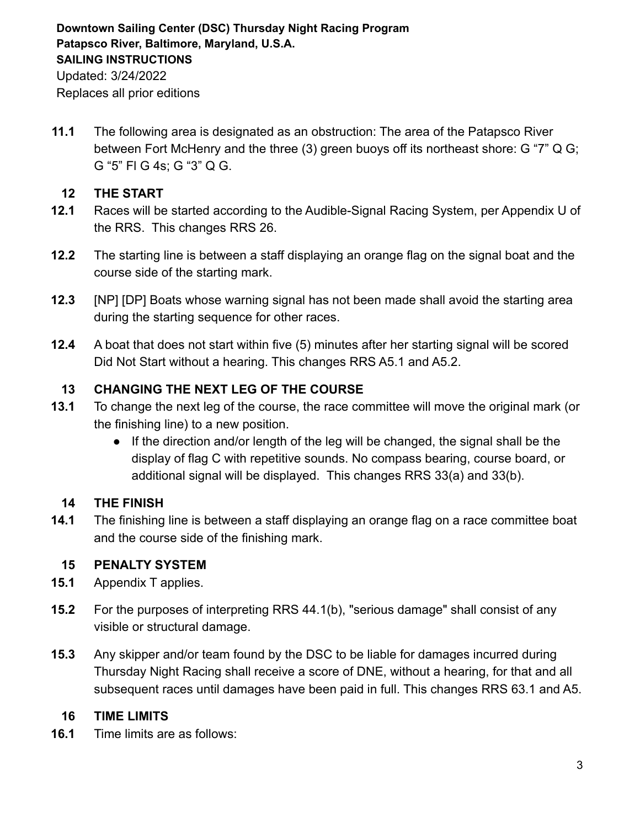Replaces all prior editions

**11.1** The following area is designated as an obstruction: The area of the Patapsco River between Fort McHenry and the three (3) green buoys off its northeast shore: G "7" Q G; G "5" Fl G 4s; G "3" Q G.

### **12 THE START**

- **12.1** Races will be started according to the Audible-Signal Racing System, per Appendix U of the RRS. This changes RRS 26.
- **12.2** The starting line is between a staff displaying an orange flag on the signal boat and the course side of the starting mark.
- **12.3** [NP] [DP] Boats whose warning signal has not been made shall avoid the starting area during the starting sequence for other races.
- **12.4** A boat that does not start within five (5) minutes after her starting signal will be scored Did Not Start without a hearing. This changes RRS A5.1 and A5.2.

### **13 CHANGING THE NEXT LEG OF THE COURSE**

- **13.1** To change the next leg of the course, the race committee will move the original mark (or the finishing line) to a new position.
	- If the direction and/or length of the leg will be changed, the signal shall be the display of flag C with repetitive sounds. No compass bearing, course board, or additional signal will be displayed. This changes RRS 33(a) and 33(b).

### **14 THE FINISH**

**14.1** The finishing line is between a staff displaying an orange flag on a race committee boat and the course side of the finishing mark.

### **15 PENALTY SYSTEM**

- **15.1** Appendix T applies.
- **15.2** For the purposes of interpreting RRS 44.1(b), "serious damage" shall consist of any visible or structural damage.
- **15.3** Any skipper and/or team found by the DSC to be liable for damages incurred during Thursday Night Racing shall receive a score of DNE, without a hearing, for that and all subsequent races until damages have been paid in full. This changes RRS 63.1 and A5.

#### **16 TIME LIMITS**

**16.1** Time limits are as follows: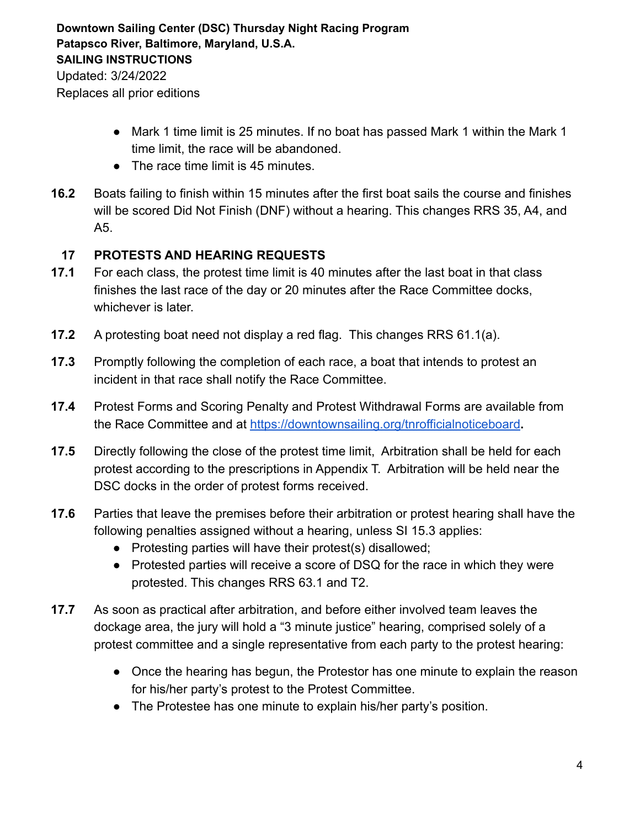- Replaces all prior editions
	- Mark 1 time limit is 25 minutes. If no boat has passed Mark 1 within the Mark 1 time limit, the race will be abandoned.
	- The race time limit is 45 minutes.
- **16.2** Boats failing to finish within 15 minutes after the first boat sails the course and finishes will be scored Did Not Finish (DNF) without a hearing. This changes RRS 35, A4, and A5.

#### **17 PROTESTS AND HEARING REQUESTS**

- **17.1** For each class, the protest time limit is 40 minutes after the last boat in that class finishes the last race of the day or 20 minutes after the Race Committee docks, whichever is later.
- **17.2** A protesting boat need not display a red flag. This changes RRS 61.1(a).
- **17.3** Promptly following the completion of each race, a boat that intends to protest an incident in that race shall notify the Race Committee.
- **17.4** Protest Forms and Scoring Penalty and Protest Withdrawal Forms are available from the Race Committee and at <https://downtownsailing.org/tnrofficialnoticeboard>**.**
- **17.5** Directly following the close of the protest time limit, Arbitration shall be held for each protest according to the prescriptions in Appendix T. Arbitration will be held near the DSC docks in the order of protest forms received.
- **17.6** Parties that leave the premises before their arbitration or protest hearing shall have the following penalties assigned without a hearing, unless SI 15.3 applies:
	- Protesting parties will have their protest(s) disallowed;
	- Protested parties will receive a score of DSQ for the race in which they were protested. This changes RRS 63.1 and T2.
- **17.7** As soon as practical after arbitration, and before either involved team leaves the dockage area, the jury will hold a "3 minute justice" hearing, comprised solely of a protest committee and a single representative from each party to the protest hearing:
	- Once the hearing has begun, the Protestor has one minute to explain the reason for his/her party's protest to the Protest Committee.
	- The Protestee has one minute to explain his/her party's position.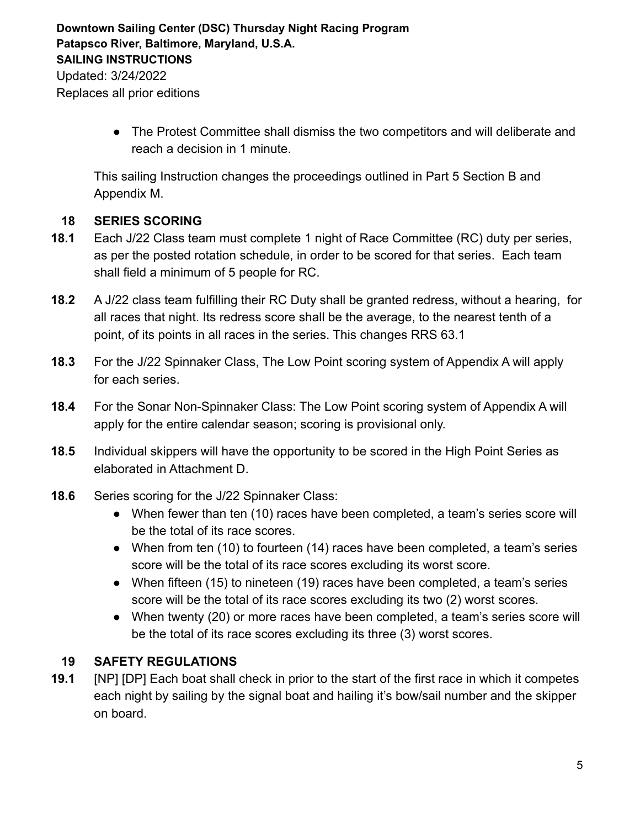> ● The Protest Committee shall dismiss the two competitors and will deliberate and reach a decision in 1 minute.

This sailing Instruction changes the proceedings outlined in Part 5 Section B and Appendix M.

### **18 SERIES SCORING**

- **18.1** Each J/22 Class team must complete 1 night of Race Committee (RC) duty per series, as per the posted rotation schedule, in order to be scored for that series. Each team shall field a minimum of 5 people for RC.
- **18.2** A J/22 class team fulfilling their RC Duty shall be granted redress, without a hearing, for all races that night. Its redress score shall be the average, to the nearest tenth of a point, of its points in all races in the series. This changes RRS 63.1
- **18.3** For the J/22 Spinnaker Class, The Low Point scoring system of Appendix A will apply for each series.
- **18.4** For the Sonar Non-Spinnaker Class: The Low Point scoring system of Appendix A will apply for the entire calendar season; scoring is provisional only.
- **18.5** Individual skippers will have the opportunity to be scored in the High Point Series as elaborated in Attachment D.
- **18.6** Series scoring for the J/22 Spinnaker Class:
	- When fewer than ten (10) races have been completed, a team's series score will be the total of its race scores.
	- When from ten (10) to fourteen (14) races have been completed, a team's series score will be the total of its race scores excluding its worst score.
	- When fifteen (15) to nineteen (19) races have been completed, a team's series score will be the total of its race scores excluding its two (2) worst scores.
	- When twenty (20) or more races have been completed, a team's series score will be the total of its race scores excluding its three (3) worst scores.

# **19 SAFETY REGULATIONS**

**19.1** [NP] [DP] Each boat shall check in prior to the start of the first race in which it competes each night by sailing by the signal boat and hailing it's bow/sail number and the skipper on board.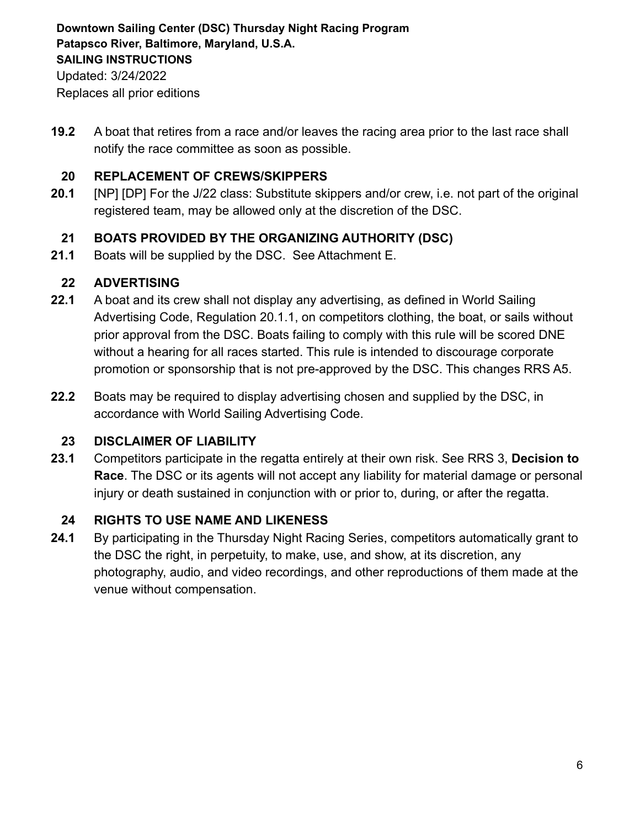Replaces all prior editions

**19.2** A boat that retires from a race and/or leaves the racing area prior to the last race shall notify the race committee as soon as possible.

### **20 REPLACEMENT OF CREWS/SKIPPERS**

**20.1** [NP] [DP] For the J/22 class: Substitute skippers and/or crew, i.e. not part of the original registered team, may be allowed only at the discretion of the DSC.

# **21 BOATS PROVIDED BY THE ORGANIZING AUTHORITY (DSC)**

**21.1** Boats will be supplied by the DSC. See Attachment E.

# **22 ADVERTISING**

- **22.1** A boat and its crew shall not display any advertising, as defined in World Sailing Advertising Code, Regulation 20.1.1, on competitors clothing, the boat, or sails without prior approval from the DSC. Boats failing to comply with this rule will be scored DNE without a hearing for all races started. This rule is intended to discourage corporate promotion or sponsorship that is not pre-approved by the DSC. This changes RRS A5.
- **22.2** Boats may be required to display advertising chosen and supplied by the DSC, in accordance with World Sailing Advertising Code.

# **23 DISCLAIMER OF LIABILITY**

**23.1** Competitors participate in the regatta entirely at their own risk. See RRS 3, **Decision to Race**. The DSC or its agents will not accept any liability for material damage or personal injury or death sustained in conjunction with or prior to, during, or after the regatta.

# **24 RIGHTS TO USE NAME AND LIKENESS**

**24.1** By participating in the Thursday Night Racing Series, competitors automatically grant to the DSC the right, in perpetuity, to make, use, and show, at its discretion, any photography, audio, and video recordings, and other reproductions of them made at the venue without compensation.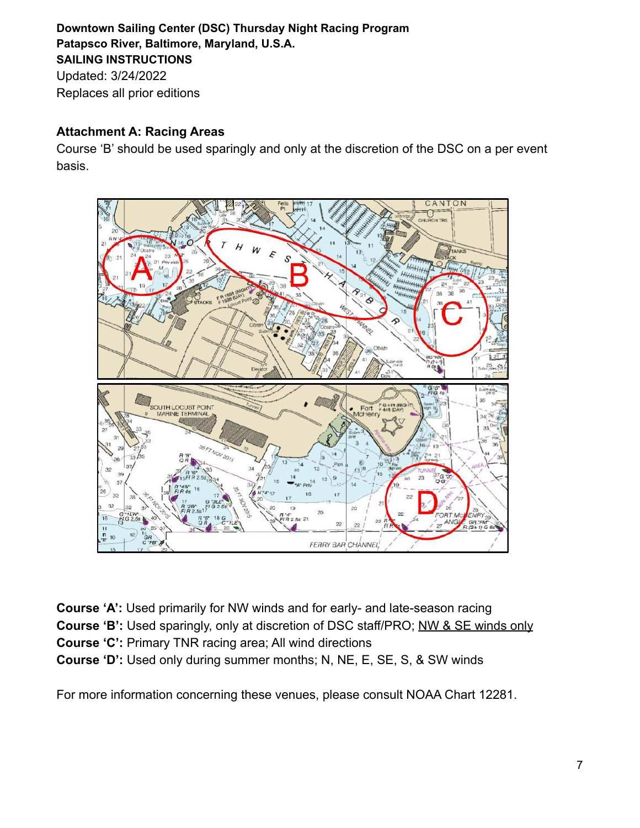# **Attachment A: Racing Areas**

Course 'B' should be used sparingly and only at the discretion of the DSC on a per event basis.



**Course 'A':** Used primarily for NW winds and for early- and late-season racing **Course 'B':** Used sparingly, only at discretion of DSC staff/PRO; NW & SE winds only **Course 'C':** Primary TNR racing area; All wind directions **Course 'D':** Used only during summer months; N, NE, E, SE, S, & SW winds

For more information concerning these venues, please consult NOAA Chart 12281.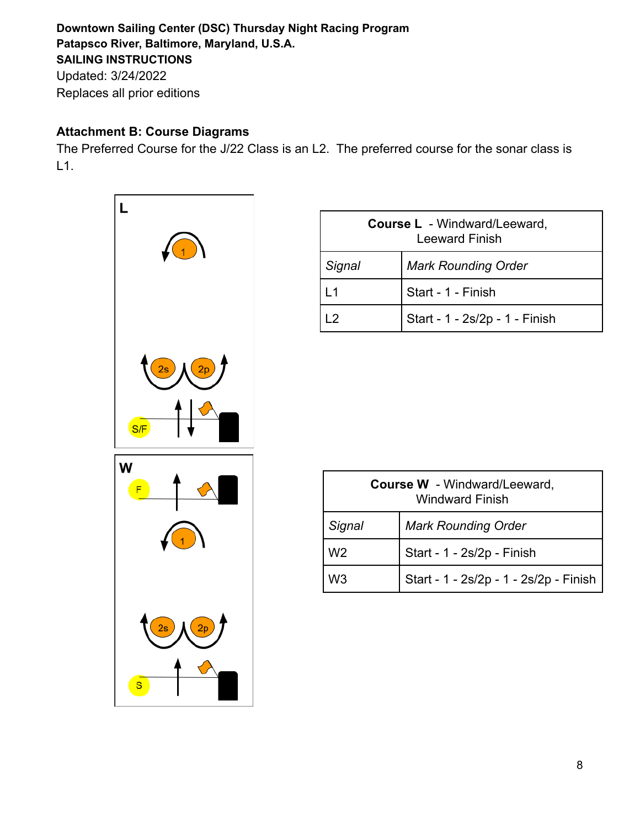Replaces all prior editions

# **Attachment B: Course Diagrams**

The Preferred Course for the J/22 Class is an L2. The preferred course for the sonar class is L1.



| <b>Course L</b> - Windward/Leeward,<br><b>Leeward Finish</b> |                                |  |
|--------------------------------------------------------------|--------------------------------|--|
| Signal                                                       | <b>Mark Rounding Order</b>     |  |
| l 1                                                          | Start - 1 - Finish             |  |
| Iク                                                           | Start - 1 - 2s/2p - 1 - Finish |  |

| <b>Course W</b> - Windward/Leeward,<br><b>Windward Finish</b> |                                        |  |
|---------------------------------------------------------------|----------------------------------------|--|
| Signal                                                        | <b>Mark Rounding Order</b>             |  |
| W <sub>2</sub>                                                | Start - 1 - 2s/2p - Finish             |  |
| W3                                                            | Start - 1 - 2s/2p - 1 - 2s/2p - Finish |  |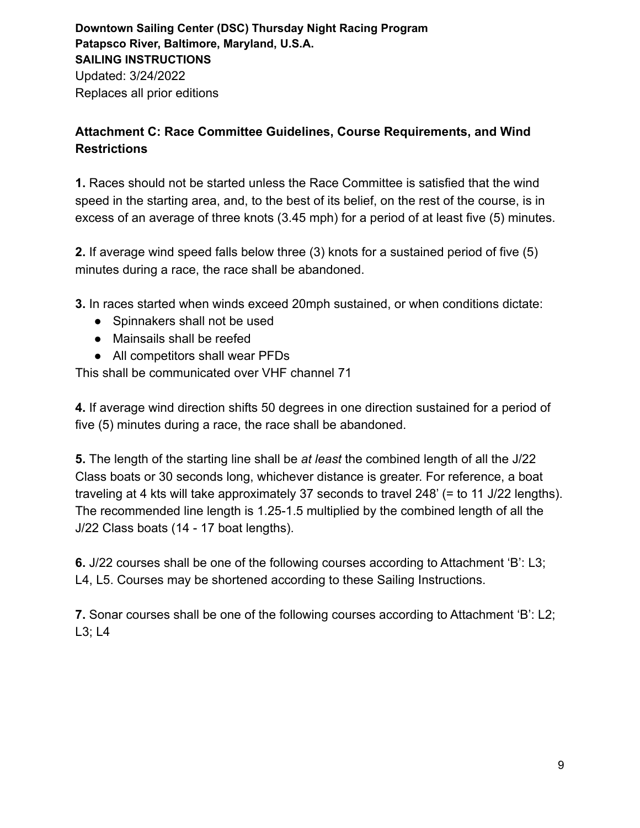# **Attachment C: Race Committee Guidelines, Course Requirements, and Wind Restrictions**

**1.** Races should not be started unless the Race Committee is satisfied that the wind speed in the starting area, and, to the best of its belief, on the rest of the course, is in excess of an average of three knots (3.45 mph) for a period of at least five (5) minutes.

**2.** If average wind speed falls below three (3) knots for a sustained period of five (5) minutes during a race, the race shall be abandoned.

**3.** In races started when winds exceed 20mph sustained, or when conditions dictate:

- Spinnakers shall not be used
- Mainsails shall be reefed
- All competitors shall wear PFDs

This shall be communicated over VHF channel 71

**4.** If average wind direction shifts 50 degrees in one direction sustained for a period of five (5) minutes during a race, the race shall be abandoned.

**5.** The length of the starting line shall be *at least* the combined length of all the J/22 Class boats or 30 seconds long, whichever distance is greater. For reference, a boat traveling at 4 kts will take approximately 37 seconds to travel 248' (= to 11 J/22 lengths). The recommended line length is 1.25-1.5 multiplied by the combined length of all the J/22 Class boats (14 - 17 boat lengths).

**6.** J/22 courses shall be one of the following courses according to Attachment 'B': L3; L4, L5. Courses may be shortened according to these Sailing Instructions.

**7.** Sonar courses shall be one of the following courses according to Attachment 'B': L2; L3; L4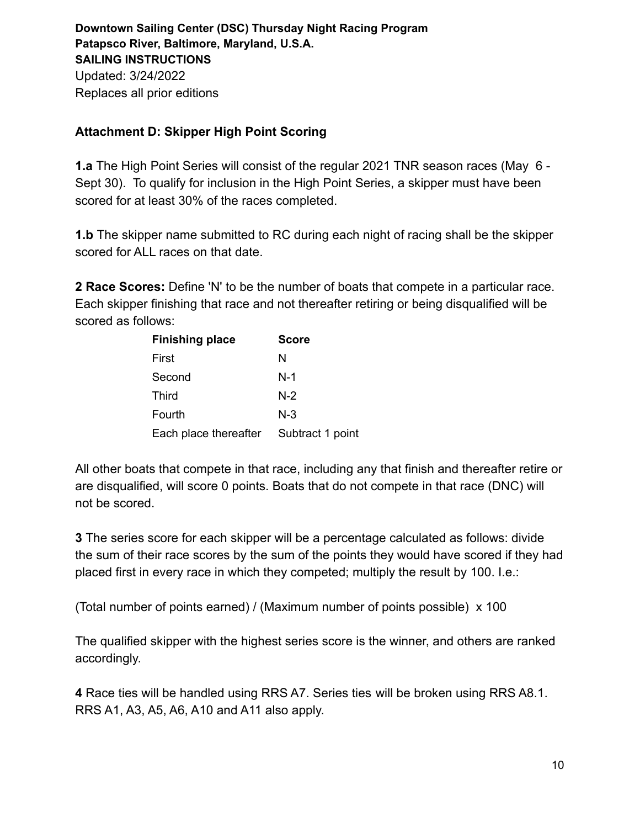### **Attachment D: Skipper High Point Scoring**

**1.a** The High Point Series will consist of the regular 2021 TNR season races (May 6 - Sept 30). To qualify for inclusion in the High Point Series, a skipper must have been scored for at least 30% of the races completed.

**1.b** The skipper name submitted to RC during each night of racing shall be the skipper scored for ALL races on that date.

**2 Race Scores:** Define 'N' to be the number of boats that compete in a particular race. Each skipper finishing that race and not thereafter retiring or being disqualified will be scored as follows:

| <b>Finishing place</b> | <b>Score</b>     |
|------------------------|------------------|
| First                  | N                |
| Second                 | $N-1$            |
| <b>Third</b>           | $N-2$            |
| Fourth                 | N-3              |
| Each place thereafter  | Subtract 1 point |

All other boats that compete in that race, including any that finish and thereafter retire or are disqualified, will score 0 points. Boats that do not compete in that race (DNC) will not be scored.

**3** The series score for each skipper will be a percentage calculated as follows: divide the sum of their race scores by the sum of the points they would have scored if they had placed first in every race in which they competed; multiply the result by 100. I.e.:

(Total number of points earned) / (Maximum number of points possible) x 100

The qualified skipper with the highest series score is the winner, and others are ranked accordingly.

**4** Race ties will be handled using RRS A7. Series ties will be broken using RRS A8.1. RRS A1, A3, A5, A6, A10 and A11 also apply.